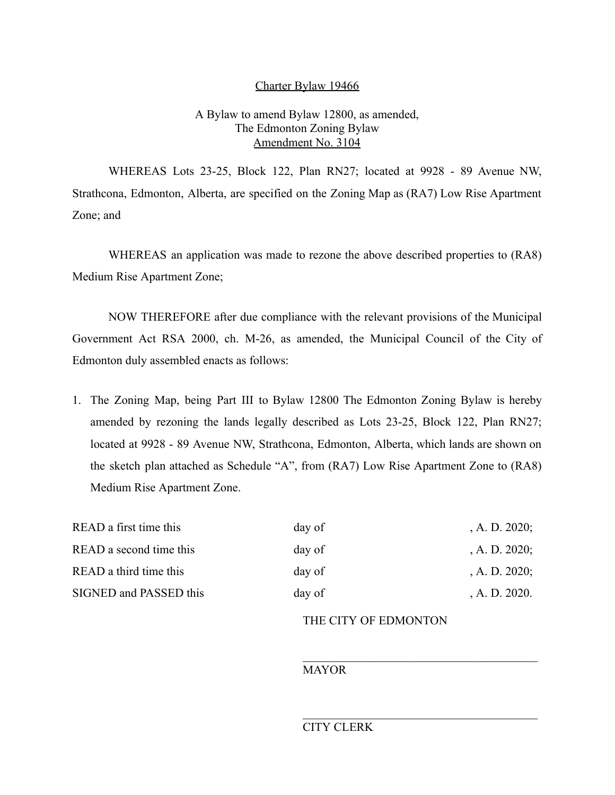### Charter Bylaw 19466

# A Bylaw to amend Bylaw 12800, as amended, The Edmonton Zoning Bylaw Amendment No. 3104

WHEREAS Lots 23-25, Block 122, Plan RN27; located at 9928 - 89 Avenue NW, Strathcona, Edmonton, Alberta, are specified on the Zoning Map as (RA7) Low Rise Apartment Zone; and

WHEREAS an application was made to rezone the above described properties to (RA8) Medium Rise Apartment Zone;

NOW THEREFORE after due compliance with the relevant provisions of the Municipal Government Act RSA 2000, ch. M-26, as amended, the Municipal Council of the City of Edmonton duly assembled enacts as follows:

1. The Zoning Map, being Part III to Bylaw 12800 The Edmonton Zoning Bylaw is hereby amended by rezoning the lands legally described as Lots 23-25, Block 122, Plan RN27; located at 9928 - 89 Avenue NW, Strathcona, Edmonton, Alberta, which lands are shown on the sketch plan attached as Schedule "A", from (RA7) Low Rise Apartment Zone to (RA8) Medium Rise Apartment Zone.

| READ a first time this  | day of | , A. D. $2020$ ; |
|-------------------------|--------|------------------|
| READ a second time this | day of | , A. D. $2020$ ; |
| READ a third time this  | day of | , A. D. $2020$ ; |
| SIGNED and PASSED this  | day of | , A. D. 2020.    |

## THE CITY OF EDMONTON

## **MAYOR**

### CITY CLERK